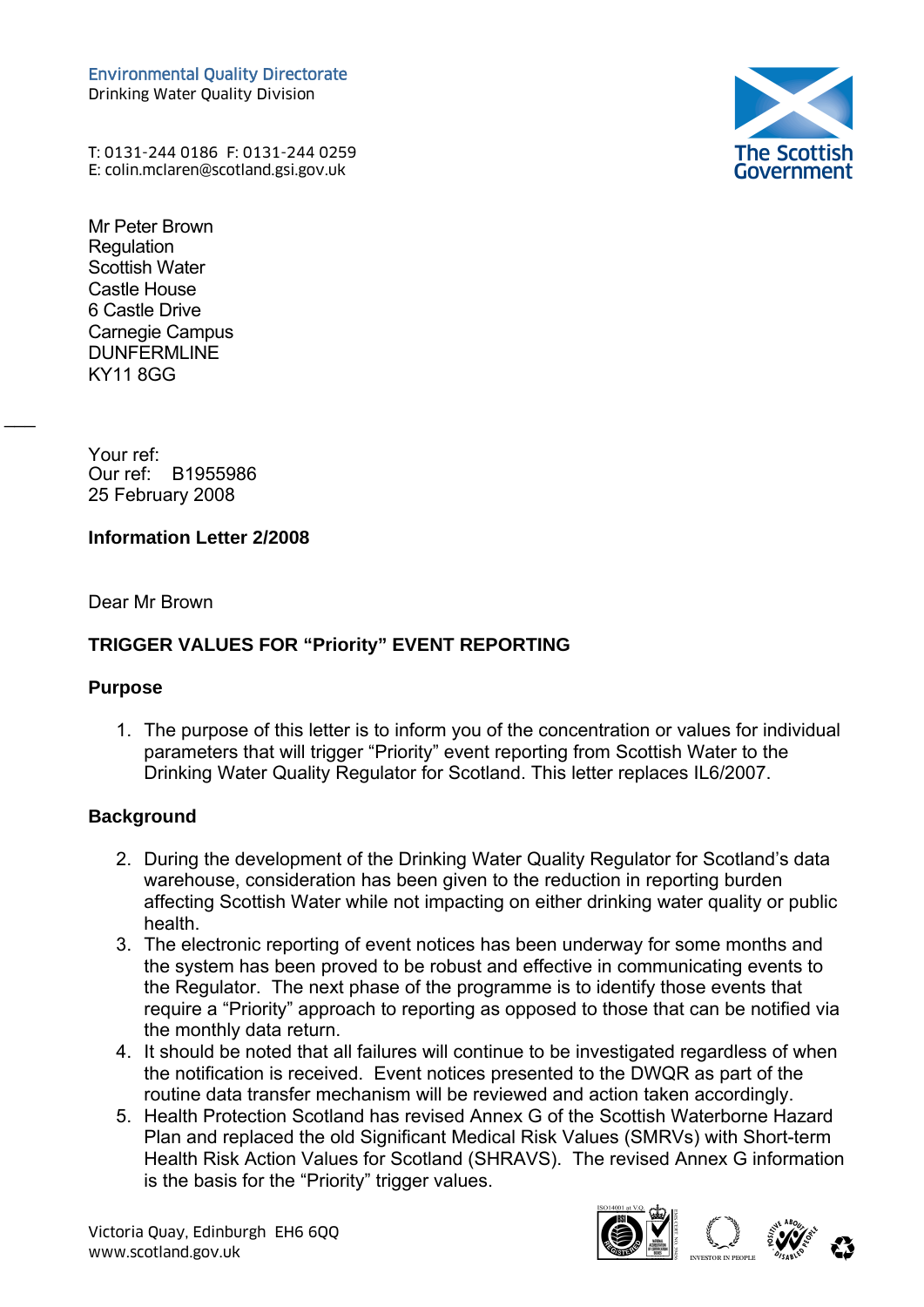Environmental Quality Directorate Drinking Water Quality Division



T: 0131-244 0186 F: 0131-244 0259 Environmental Quality Directorate<br>Drinking Water Quality Division<br>T: 0131-244 0186 F: 0131-244 0259<br>E: colin.mclaren@scotland.gsi.gov.uk (

Mr Peter Brown **Requlation** Scottish Water Castle House 6 Castle Drive Carnegie Campus DUNFERMLINE KY11 8GG

Your ref: Our ref: B1955986 25 February 2008

### **Information Letter 2/2008**

Dear Mr Brown

## **TRIGGER VALUES FOR "Priority" EVENT REPORTING**

#### **Purpose**

 $\overline{\phantom{a}}$ 

1. The purpose of this letter is to inform you of the concentration or values for individual parameters that will trigger "Priority" event reporting from Scottish Water to the Drinking Water Quality Regulator for Scotland. This letter replaces IL6/2007.

### **Background**

- 2. During the development of the Drinking Water Quality Regulator for Scotland's data warehouse, consideration has been given to the reduction in reporting burden affecting Scottish Water while not impacting on either drinking water quality or public health.
- 3. The electronic reporting of event notices has been underway for some months and the system has been proved to be robust and effective in communicating events to the Regulator. The next phase of the programme is to identify those events that require a "Priority" approach to reporting as opposed to those that can be notified via the monthly data return.
- 4. It should be noted that all failures will continue to be investigated regardless of when the notification is received. Event notices presented to the DWQR as part of the routine data transfer mechanism will be reviewed and action taken accordingly.
- 5. Health Protection Scotland has revised Annex G of the Scottish Waterborne Hazard Plan and replaced the old Significant Medical Risk Values (SMRVs) with Short-term Health Risk Action Values for Scotland (SHRAVS). The revised Annex G information is the basis for the "Priority" trigger values.





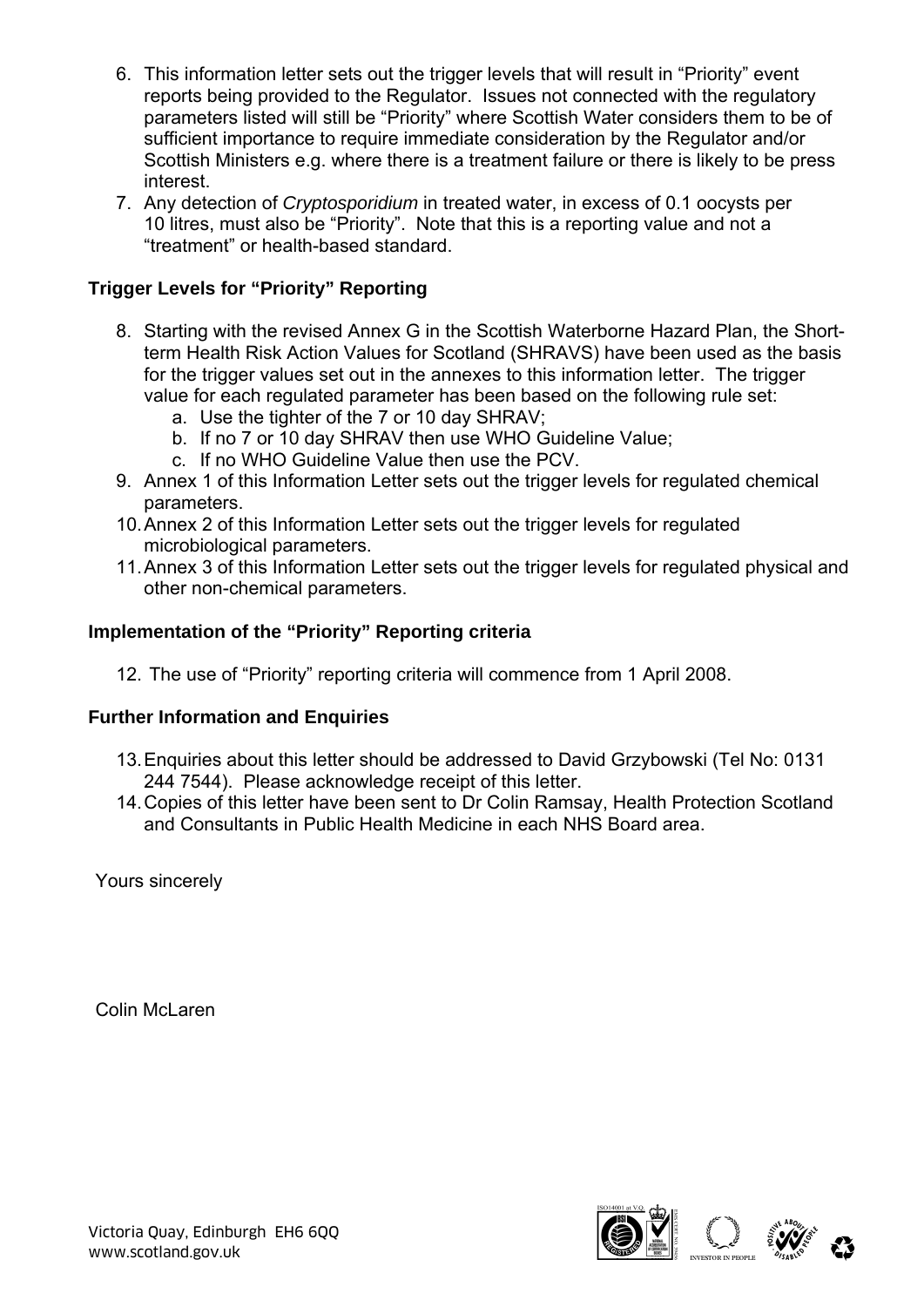- 6. This information letter sets out the trigger levels that will result in "Priority" event reports being provided to the Regulator. Issues not connected with the regulatory parameters listed will still be "Priority" where Scottish Water considers them to be of sufficient importance to require immediate consideration by the Regulator and/or Scottish Ministers e.g. where there is a treatment failure or there is likely to be press interest.
- 7. Any detection of *Cryptosporidium* in treated water, in excess of 0.1 oocysts per 10 litres, must also be "Priority". Note that this is a reporting value and not a "treatment" or health-based standard.

# **Trigger Levels for "Priority" Reporting**

- 8. Starting with the revised Annex G in the Scottish Waterborne Hazard Plan, the Shortterm Health Risk Action Values for Scotland (SHRAVS) have been used as the basis for the trigger values set out in the annexes to this information letter. The trigger value for each regulated parameter has been based on the following rule set:
	- a. Use the tighter of the 7 or 10 day SHRAV;
	- b. If no 7 or 10 day SHRAV then use WHO Guideline Value;
	- c. If no WHO Guideline Value then use the PCV.
- 9. Annex 1 of this Information Letter sets out the trigger levels for regulated chemical parameters.
- 10. Annex 2 of this Information Letter sets out the trigger levels for regulated microbiological parameters.
- 11. Annex 3 of this Information Letter sets out the trigger levels for regulated physical and other non-chemical parameters.

#### **Implementation of the "Priority" Reporting criteria**

12. The use of "Priority" reporting criteria will commence from 1 April 2008.

#### **Further Information and Enquiries**

- 13. Enquiries about this letter should be addressed to David Grzybowski (Tel No: 0131 244 7544). Please acknowledge receipt of this letter.
- 14. Copies of this letter have been sent to Dr Colin Ramsay, Health Protection Scotland and Consultants in Public Health Medicine in each NHS Board area.

Yours sincerely

Colin McLaren

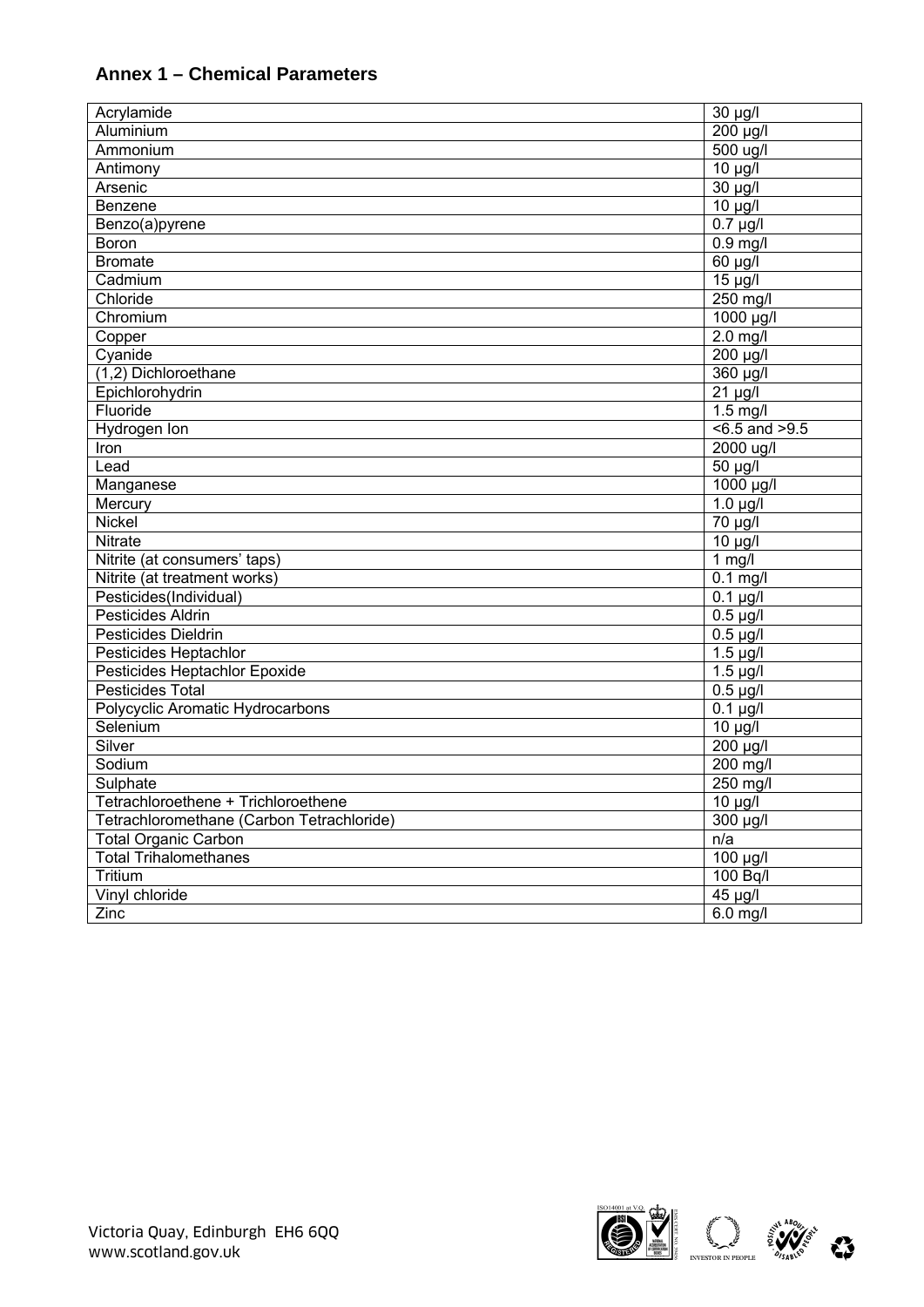# **Annex 1 – Chemical Parameters**

| Acrylamide                                | 30 µg/l               |
|-------------------------------------------|-----------------------|
| Aluminium                                 | 200 µg/l              |
| Ammonium                                  | 500 ug/l              |
| Antimony                                  | $\overline{10}$ µg/l  |
| Arsenic                                   | 30 µg/l               |
| Benzene                                   | $10 \mu g/l$          |
| Benzo(a)pyrene                            | $0.7 \mu g/l$         |
| Boron                                     | $0.9$ mg/l            |
| <b>Bromate</b>                            | 60 µg/l               |
| Cadmium                                   | $15 \mu g/l$          |
| Chloride                                  | 250 mg/l              |
| Chromium                                  | 1000 µg/l             |
| Copper                                    | $2.0$ mg/l            |
| Cyanide                                   | $200 \mu g/l$         |
| (1,2) Dichloroethane                      | 360 µg/l              |
| Epichlorohydrin                           | $21 \mu g/l$          |
| Fluoride                                  | $1.5$ mg/l            |
| Hydrogen Ion                              | $5 - 5$ and $>9.5$    |
| Iron                                      | 2000 ug/l             |
| Lead                                      | 50 µg/l               |
| Manganese                                 | 1000 µg/l             |
| Mercury                                   | $1.0 \mu g/l$         |
| Nickel                                    | 70 µg/l               |
| Nitrate                                   | $10 \mu g/l$          |
| Nitrite (at consumers' taps)              | $1$ mg/l              |
| Nitrite (at treatment works)              | $0.1$ mg/l            |
| Pesticides(Individual)                    | $\overline{0.1}$ µg/l |
| Pesticides Aldrin                         | $0.5 \mu g/l$         |
| Pesticides Dieldrin                       | $0.5 \mu g/l$         |
| Pesticides Heptachlor                     | $1.5 \mu g/l$         |
| Pesticides Heptachlor Epoxide             | $1.5 \mu g/l$         |
| Pesticides Total                          | $0.5 \mu g/l$         |
| Polycyclic Aromatic Hydrocarbons          | $0.1 \mu g/l$         |
| Selenium                                  | $10 \mu g/l$          |
| Silver                                    | 200 µg/l              |
| Sodium                                    | 200 mg/l              |
| Sulphate                                  | $250$ mg/l            |
| Tetrachloroethene + Trichloroethene       | $10 \mu g/l$          |
| Tetrachloromethane (Carbon Tetrachloride) | 300 µg/l              |
| <b>Total Organic Carbon</b>               | n/a                   |
| <b>Total Trihalomethanes</b>              | $\overline{100}$ µg/l |
| Tritium                                   | 100 Bq/l              |
| Vinyl chloride                            | $45 \mu g/l$          |
| Zinc                                      | $6.0$ mg/l            |



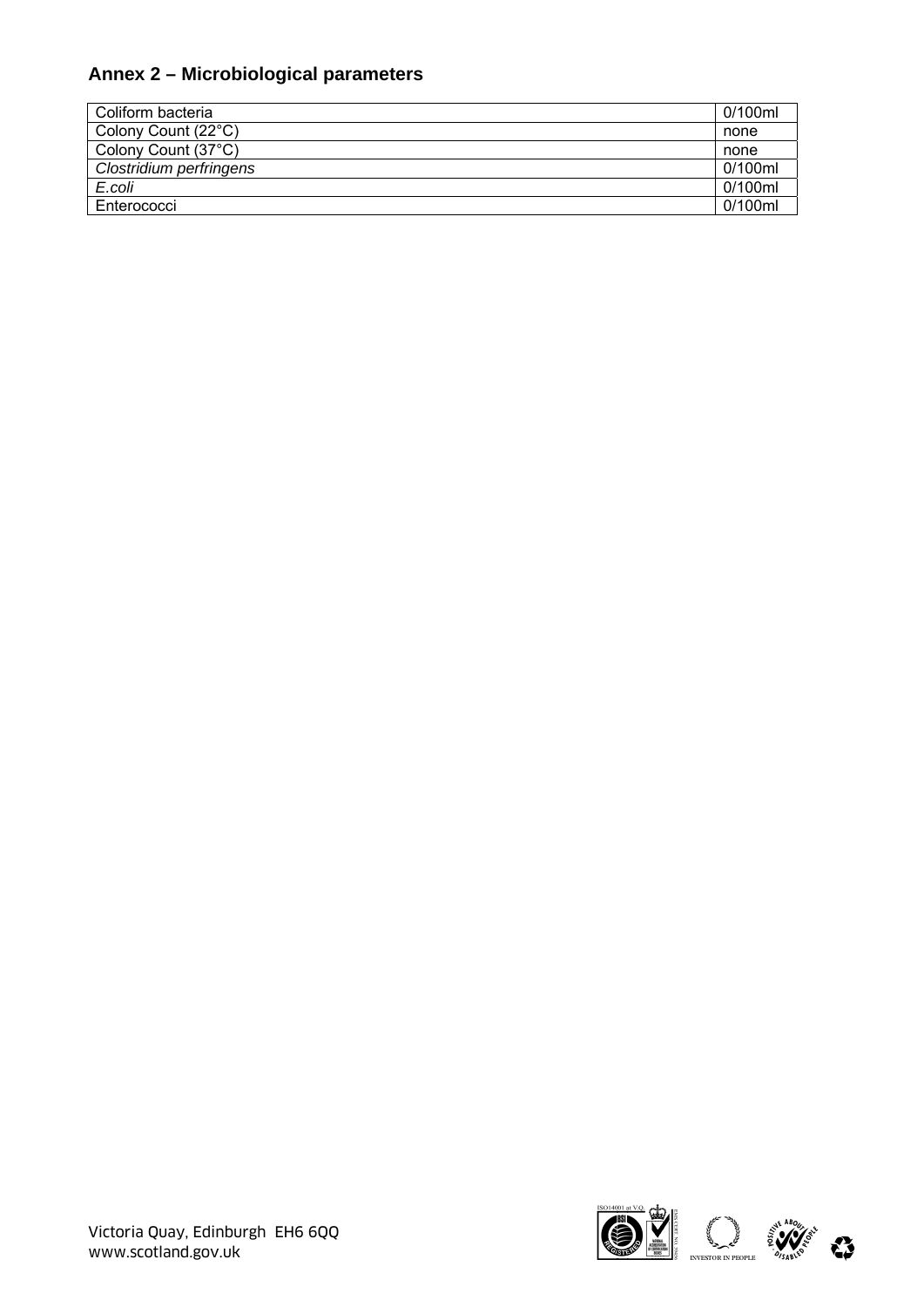## **Annex 2 – Microbiological parameters**

| Coliform bacteria       | 0/100ml |
|-------------------------|---------|
| Colony Count (22°C)     | none    |
| Colony Count (37°C)     | none    |
| Clostridium perfringens | 0/100ml |
| E.coli                  | 0/100ml |
| Enterococci             | 0/100ml |